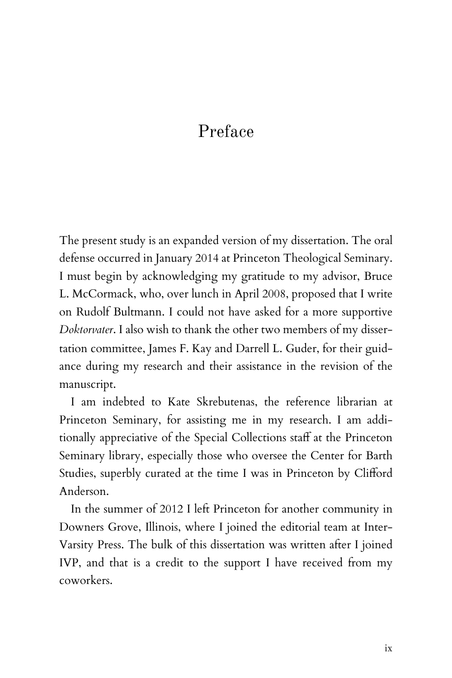## Preface

The present study is an expanded version of my dissertation. The oral defense occurred in January 2014 at Princeton Theological Seminary. I must begin by acknowledging my gratitude to my advisor, Bruce L. McCormack, who, over lunch in April 2008, proposed that I write on Rudolf Bultmann. I could not have asked for a more supportive *Doktorvater*. I also wish to thank the other two members of my dissertation committee, James F. Kay and Darrell L. Guder, for their guidance during my research and their assistance in the revision of the manuscript.

I am indebted to Kate Skrebutenas, the reference librarian at Princeton Seminary, for assisting me in my research. I am additionally appreciative of the Special Collections staff at the Princeton Seminary library, especially those who oversee the Center for Barth Studies, superbly curated at the time I was in Princeton by Clifford Anderson.

In the summer of 2012 I left Princeton for another community in Downers Grove, Illinois, where I joined the editorial team at Inter-Varsity Press. The bulk of this dissertation was written after I joined IVP, and that is a credit to the support I have received from my coworkers.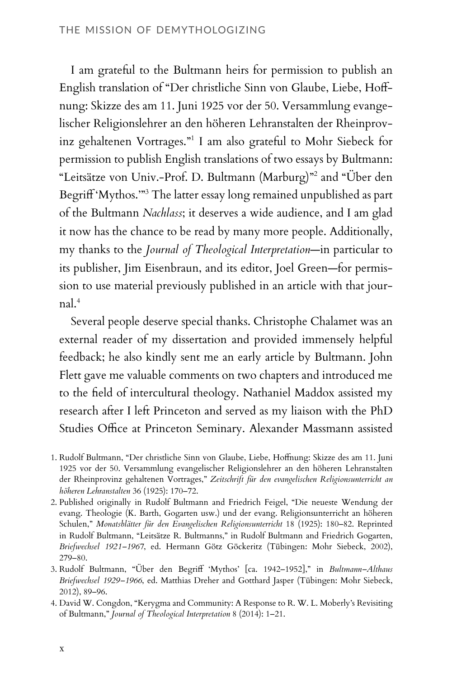I am grateful to the Bultmann heirs for permission to publish an English translation of "Der christliche Sinn von Glaube, Liebe, Hoffnung: Skizze des am 11. Juni 1925 vor der 50. Versammlung evangelischer Religionslehrer an den höheren Lehranstalten der Rheinprovinz gehaltenen Vortrages."<sup>1</sup> I am also grateful to Mohr Siebeck for permission to publish English translations of two essays by Bultmann: "Leitsätze von Univ.-Prof. D. Bultmann (Marburg)"<sup>2</sup> and "Über den Begriff 'Mythos.'"<sup>3</sup> The latter essay long remained unpublished as part of the Bultmann *Nachlass*; it deserves a wide audience, and I am glad it now has the chance to be read by many more people. Additionally, my thanks to the *Journal of Theological Interpretation*—in particular to its publisher, Jim Eisenbraun, and its editor, Joel Green—for permission to use material previously published in an article with that jour $nal.<sup>4</sup>$ 

Several people deserve special thanks. Christophe Chalamet was an external reader of my dissertation and provided immensely helpful feedback; he also kindly sent me an early article by Bultmann. John Flett gave me valuable comments on two chapters and introduced me to the field of intercultural theology. Nathaniel Maddox assisted my research after I left Princeton and served as my liaison with the PhD Studies Office at Princeton Seminary. Alexander Massmann assisted

<sup>1.</sup> Rudolf Bultmann, "Der christliche Sinn von Glaube, Liebe, Hoffnung: Skizze des am 11. Juni 1925 vor der 50. Versammlung evangelischer Religionslehrer an den höheren Lehranstalten der Rheinprovinz gehaltenen Vortrages," *Zeitschrift für den evangelischen Religionsunterricht an höheren Lehranstalten* 36 (1925): 170–72.

<sup>2.</sup> Published originally in Rudolf Bultmann and Friedrich Feigel, "Die neueste Wendung der evang. Theologie (K. Barth, Gogarten usw.) und der evang. Religionsunterricht an höheren Schulen," *Monatsblätter für den Evangelischen Religionsunterricht* 18 (1925): 180–82. Reprinted in Rudolf Bultmann, "Leitsätze R. Bultmanns," in Rudolf Bultmann and Friedrich Gogarten, *Briefwechsel 1921–1967*, ed. Hermann Götz Göckeritz (Tübingen: Mohr Siebeck, 2002), 279–80.

<sup>3.</sup> Rudolf Bultmann, "Über den Begriff 'Mythos' [ca. 1942–1952]," in *Bultmann–Althaus Briefwechsel 1929–1966*, ed. Matthias Dreher and Gotthard Jasper (Tübingen: Mohr Siebeck, 2012), 89–96.

<sup>4.</sup> David W. Congdon, "Kerygma and Community: A Response to R. W. L. Moberly's Revisiting of Bultmann," *Journal of Theological Interpretation* 8 (2014): 1–21.